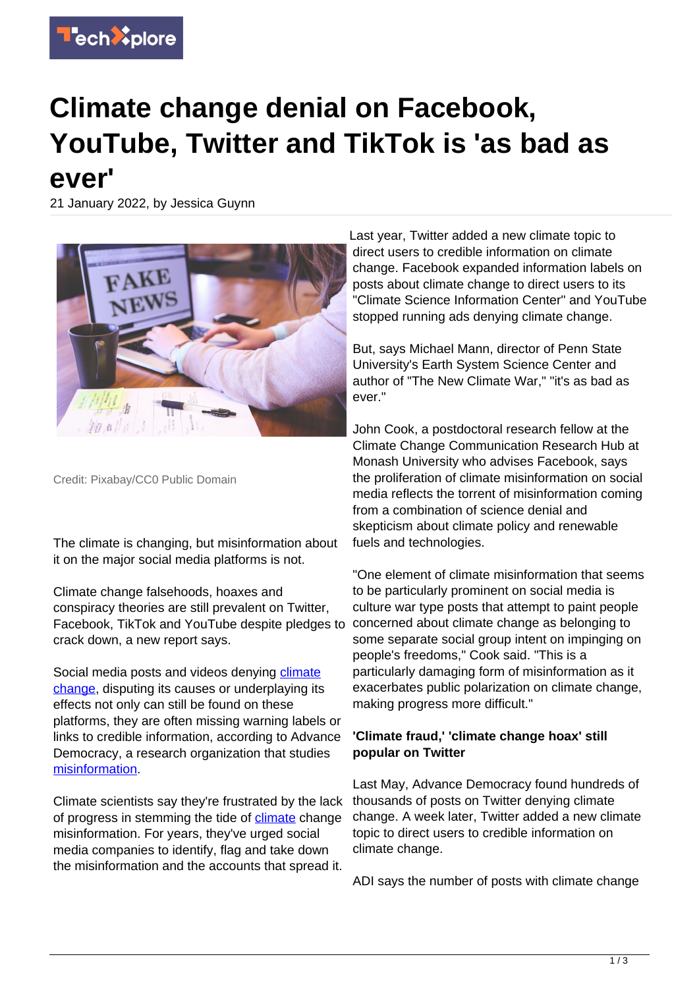

# **Climate change denial on Facebook, YouTube, Twitter and TikTok is 'as bad as ever'**

21 January 2022, by Jessica Guynn



Credit: Pixabay/CC0 Public Domain

The climate is changing, but misinformation about it on the major social media platforms is not.

Climate change falsehoods, hoaxes and conspiracy theories are still prevalent on Twitter, Facebook, TikTok and YouTube despite pledges to crack down, a new report says.

Social media posts and videos denying [climate](https://techxplore.com/tags/climate+change/) [change](https://techxplore.com/tags/climate+change/), disputing its causes or underplaying its effects not only can still be found on these platforms, they are often missing warning labels or links to credible information, according to Advance Democracy, a research organization that studies [misinformation.](https://techxplore.com/tags/misinformation/)

Climate scientists say they're frustrated by the lack of progress in stemming the tide of [climate](https://techxplore.com/tags/climate/) change misinformation. For years, they've urged social media companies to identify, flag and take down the misinformation and the accounts that spread it.

Last year, Twitter added a new climate topic to direct users to credible information on climate change. Facebook expanded information labels on posts about climate change to direct users to its "Climate Science Information Center" and YouTube stopped running ads denying climate change.

But, says Michael Mann, director of Penn State University's Earth System Science Center and author of "The New Climate War," "it's as bad as ever."

John Cook, a postdoctoral research fellow at the Climate Change Communication Research Hub at Monash University who advises Facebook, says the proliferation of climate misinformation on social media reflects the torrent of misinformation coming from a combination of science denial and skepticism about climate policy and renewable fuels and technologies.

"One element of climate misinformation that seems to be particularly prominent on social media is culture war type posts that attempt to paint people concerned about climate change as belonging to some separate social group intent on impinging on people's freedoms," Cook said. "This is a particularly damaging form of misinformation as it exacerbates public polarization on climate change, making progress more difficult."

## **'Climate fraud,' 'climate change hoax' still popular on Twitter**

Last May, Advance Democracy found hundreds of thousands of posts on Twitter denying climate change. A week later, Twitter added a new climate topic to direct users to credible information on climate change.

ADI says the number of posts with climate change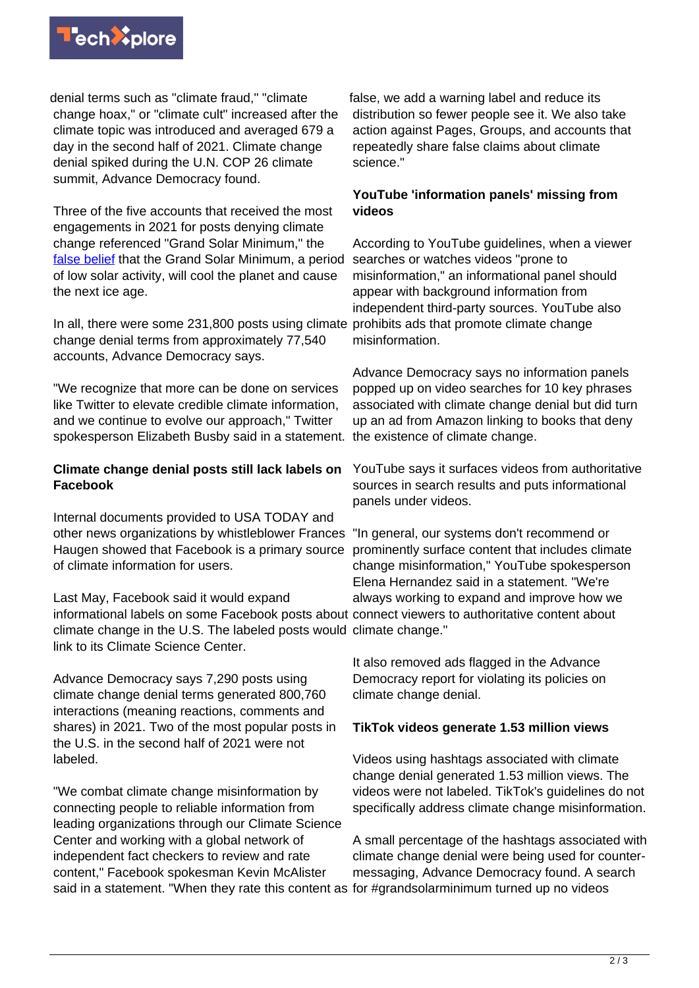

denial terms such as "climate fraud," "climate change hoax," or "climate cult" increased after the climate topic was introduced and averaged 679 a day in the second half of 2021. Climate change denial spiked during the U.N. COP 26 climate summit, Advance Democracy found.

Three of the five accounts that received the most engagements in 2021 for posts denying climate change referenced "Grand Solar Minimum," the [false belief](https://techxplore.com/tags/false+belief/) that the Grand Solar Minimum, a period of low solar activity, will cool the planet and cause the next ice age.

In all, there were some 231,800 posts using climate change denial terms from approximately 77,540 accounts, Advance Democracy says.

"We recognize that more can be done on services like Twitter to elevate credible climate information, and we continue to evolve our approach," Twitter spokesperson Elizabeth Busby said in a statement. the existence of climate change.

### **Climate change denial posts still lack labels on** YouTube says it surfaces videos from authoritative **Facebook**

Internal documents provided to USA TODAY and other news organizations by whistleblower Frances "In general, our systems don't recommend or Haugen showed that Facebook is a primary source of climate information for users.

Last May, Facebook said it would expand informational labels on some Facebook posts about connect viewers to authoritative content about climate change in the U.S. The labeled posts would climate change." link to its Climate Science Center.

Advance Democracy says 7,290 posts using climate change denial terms generated 800,760 interactions (meaning reactions, comments and shares) in 2021. Two of the most popular posts in the U.S. in the second half of 2021 were not labeled.

"We combat climate change misinformation by connecting people to reliable information from leading organizations through our Climate Science Center and working with a global network of independent fact checkers to review and rate content," Facebook spokesman Kevin McAlister said in a statement. "When they rate this content as for #grandsolarminimum turned up no videos

false, we add a warning label and reduce its distribution so fewer people see it. We also take action against Pages, Groups, and accounts that repeatedly share false claims about climate science."

## **YouTube 'information panels' missing from videos**

According to YouTube guidelines, when a viewer searches or watches videos "prone to misinformation," an informational panel should appear with background information from independent third-party sources. YouTube also prohibits ads that promote climate change misinformation.

Advance Democracy says no information panels popped up on video searches for 10 key phrases associated with climate change denial but did turn up an ad from Amazon linking to books that deny

sources in search results and puts informational panels under videos.

prominently surface content that includes climate change misinformation," YouTube spokesperson Elena Hernandez said in a statement. "We're always working to expand and improve how we

It also removed ads flagged in the Advance Democracy report for violating its policies on climate change denial.

#### **TikTok videos generate 1.53 million views**

Videos using hashtags associated with climate change denial generated 1.53 million views. The videos were not labeled. TikTok's guidelines do not specifically address climate change misinformation.

A small percentage of the hashtags associated with climate change denial were being used for countermessaging, Advance Democracy found. A search